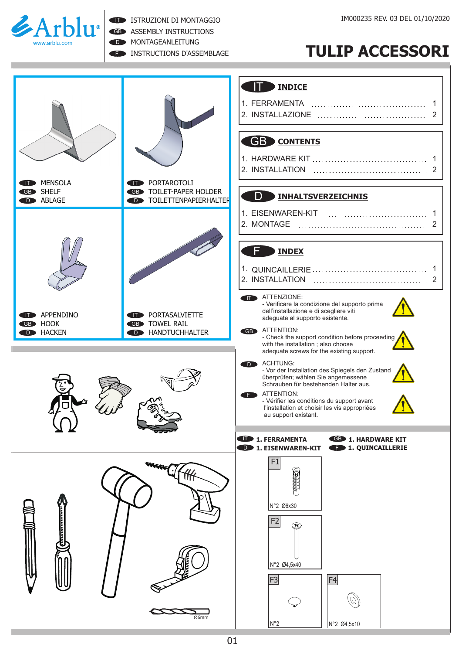

ISTRUZIONI DI MONTAGGIO

GB ASSEMBLY INSTRUCTIONS

D **MONTAGEANLEITUNG** 

**F INSTRUCTIONS D'ASSEMBLAGE** 

## **TULIP ACCESSORI**

|                                                                                                                                                     | <b>INDICE</b><br><b>GB</b> CONTENTS                                                                                                                                                                                                                                                                                                                                              |
|-----------------------------------------------------------------------------------------------------------------------------------------------------|----------------------------------------------------------------------------------------------------------------------------------------------------------------------------------------------------------------------------------------------------------------------------------------------------------------------------------------------------------------------------------|
| <b>MENSOLA</b><br>PORTAROTOLI<br>91 D<br>and a<br><b>GB</b> SHELF<br>TOILET-PAPER HOLDER<br><b>GB</b><br><b>D</b> ABLAGE<br>D TOILETTENPAPIERHALTER | D<br><b>INHALTSVERZEICHNIS</b><br><b>INDEX</b>                                                                                                                                                                                                                                                                                                                                   |
| APPENDINO<br>PORTASALVIETTE<br>Œ<br>m<br><b>HOOK</b><br><b>GB</b> TOWEL RAIL<br>GB<br><b>D</b> HANDTUCHHALTER<br><b>HACKEN</b><br><b>D</b>          | ATTENZIONE:<br>- Verificare la condizione del supporto prima<br>dell'installazione e di scegliere viti<br>adeguate al supporto esistente.<br><b>GB</b> ATTENTION:<br>- Check the support condition before proceeding<br>with the installation ; also choose                                                                                                                      |
|                                                                                                                                                     | adequate screws for the existing support.<br>ACHTUNG:<br>- Vor der Installation des Spiegels den Zustand<br>überprüfen; wählen Sie angemessene<br>Schrauben für bestehenden Halter aus.<br>ATTENTION:<br>F.<br>- Vérifier les conditions du support avant<br>l'installation et choisir les vis appropriées<br>au support existant.<br>1. FERRAMENTA<br><b>GB</b> 1. HARDWARE KIT |
| Ø6mm                                                                                                                                                | <b>1. QUINCAILLERIE</b><br><b>D</b> 1. EISENWAREN-KIT<br>F1<br>N°2 Ø6x30<br>F <sub>2</sub><br>্ঞ<br>N°2 Ø4,5x40<br>F <sub>3</sub><br>F4<br>$N^{\circ}2$<br>N°2 Ø4,5x10                                                                                                                                                                                                           |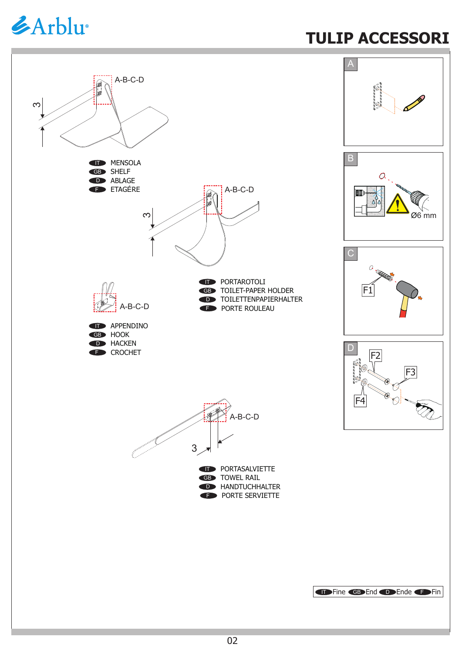## *&Arblu*

## **TULIP ACCESSORI**

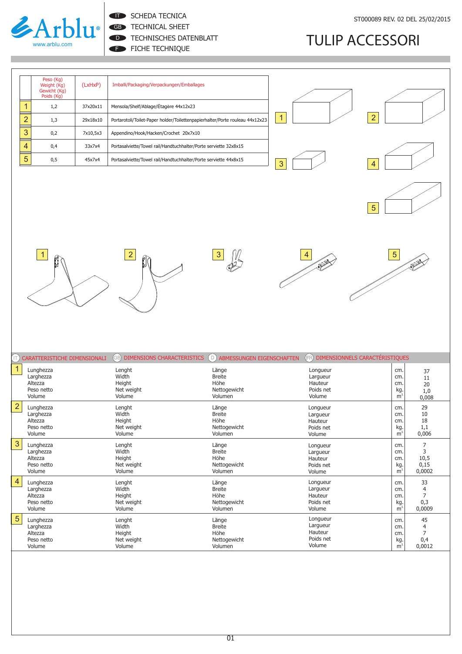

**IT SCHEDA TECNICA** 

GB TECHNICAL SHEET

FICHE TECHNIQUE D **TECHNISCHES DATENBLATT** 

## **TULIP ACCESSORI**

|   | Peso (Kg)<br>Weight (Kg)<br>Gewicht (Kg)<br>Poids (Kg) | (LxHxP)  | Imballi/Packaging/Verpackungen/Emballages                                    |  |
|---|--------------------------------------------------------|----------|------------------------------------------------------------------------------|--|
|   | 1,2                                                    | 37x20x11 | Mensola/Shelf/Ablage/Étagère 44x12x23                                        |  |
| ာ | 1,3                                                    | 29x18x10 | Portarotoli/Toilet-Paper holder/Toilettenpapierhalter/Porte rouleau 44x12x23 |  |
| 3 | 0,2                                                    | 7x10,5x3 | Appendino/Hook/Hacken/Crochet 20x7x10                                        |  |
| 4 | 0,4                                                    | 33x7x4   | Portasalviette/Towel rail/Handtuchhalter/Porte serviette 32x8x15             |  |
| 5 | 0,5                                                    | 45x7x4   | Portasalviette/Towel rail/Handtuchhalter/Porte serviette 44x8x15             |  |

| 3 | 1              | $\boxed{2}$ |
|---|----------------|-------------|
|   | $\overline{3}$ |             |













|                | (T) CARATTERISTICHE DIMENSIONALI                          | DIMENSIONS CHARACTERISTICS<br>(GB)                | (D) ABMESSUNGEN EIGENSCHAFTEN                             | DIMENSIONNELS CARACTÉRISTIQUES<br>(FR)                 |                                                     |                                            |
|----------------|-----------------------------------------------------------|---------------------------------------------------|-----------------------------------------------------------|--------------------------------------------------------|-----------------------------------------------------|--------------------------------------------|
|                | Lunghezza                                                 | Lenght                                            | Länge                                                     | Longueur                                               | cm.                                                 | 37                                         |
|                | Larghezza                                                 | Width                                             | <b>Breite</b>                                             | Largueur                                               | cm.                                                 | 11                                         |
|                | Altezza                                                   | Height                                            | Höhe                                                      | Hauteur                                                | cm.                                                 | 20                                         |
|                | Peso netto                                                | Net weight                                        | Nettogewicht                                              | Poids net                                              | kg.                                                 | 1,0                                        |
|                | Volume                                                    | Volume                                            | Volumen                                                   | Volume                                                 | $\overline{m}^3$                                    | 0,008                                      |
| $\overline{2}$ | Lunghezza                                                 | Lenght                                            | Länge                                                     | Longueur                                               | cm.                                                 | 29                                         |
|                | Larghezza                                                 | Width                                             | <b>Breite</b>                                             | Largueur                                               | cm.                                                 | 10                                         |
|                | Altezza                                                   | Height                                            | Höhe                                                      | Hauteur                                                | cm.                                                 | 18                                         |
|                | Peso netto                                                | Net weight                                        | Nettogewicht                                              | Poids net                                              | kg.                                                 | 1,1                                        |
|                | Volume                                                    | Volume                                            | Volumen                                                   | Volume                                                 | m <sup>3</sup>                                      | 0,006                                      |
| 3              | Lunghezza                                                 | Lenght                                            | Länge                                                     | Longueur                                               | cm.                                                 | 7                                          |
|                | Larghezza                                                 | Width                                             | <b>Breite</b>                                             | Largueur                                               | cm.                                                 | 3                                          |
|                | Altezza                                                   | Height                                            | Höhe                                                      | Hauteur                                                | cm.                                                 | 10,5                                       |
|                | Peso netto                                                | Net weight                                        | Nettogewicht                                              | Poids net                                              | kg.                                                 | 0,15                                       |
|                | Volume                                                    | Volume                                            | Volumen                                                   | Volume                                                 | m <sup>3</sup>                                      | 0,0002                                     |
| $\overline{4}$ | Lunghezza                                                 | Lenght                                            | Länge                                                     | Longueur                                               | cm.                                                 | 33                                         |
|                | Larghezza                                                 | Width                                             | <b>Breite</b>                                             | Largueur                                               | cm.                                                 | 4                                          |
|                | Altezza                                                   | Height                                            | Höhe                                                      | Hauteur                                                | cm.                                                 | $\overline{7}$                             |
|                | Peso netto                                                | Net weight                                        | Nettogewicht                                              | Poids net                                              | kg.                                                 | 0,3                                        |
|                | Volume                                                    | Volume                                            | Volumen                                                   | Volume                                                 | m <sup>3</sup>                                      | 0,0009                                     |
| 5              | Lunghezza<br>Larghezza<br>Altezza<br>Peso netto<br>Volume | Lenght<br>Width<br>Height<br>Net weight<br>Volume | Länge<br><b>Breite</b><br>Höhe<br>Nettogewicht<br>Volumen | Longueur<br>Largueur<br>Hauteur<br>Poids net<br>Volume | cm.<br>cm.<br>cm.<br>$\frac{\text{kg}}{\text{m}^3}$ | 45<br>4<br>$\overline{7}$<br>0,4<br>0,0012 |